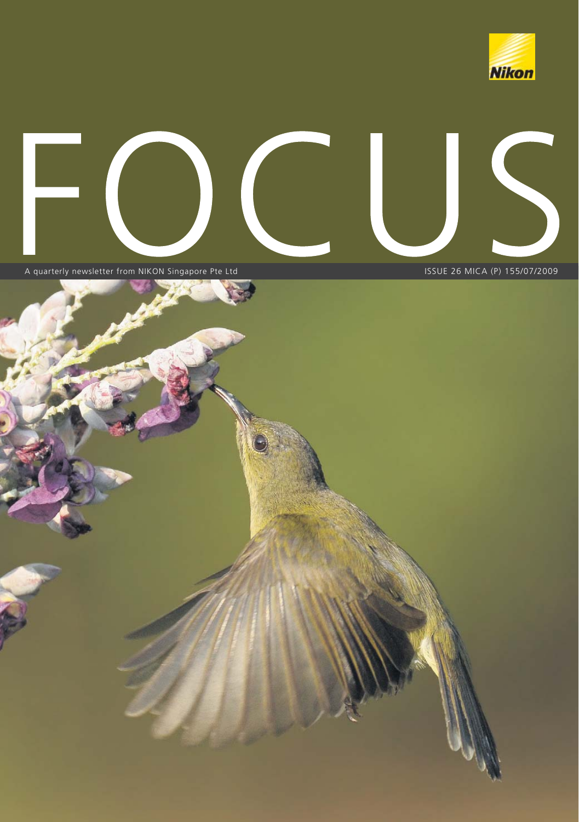



A quarterly newsletter from NIKON Singapore Pte Ltd ISSUE 26 MICA (P) 155/07/2009



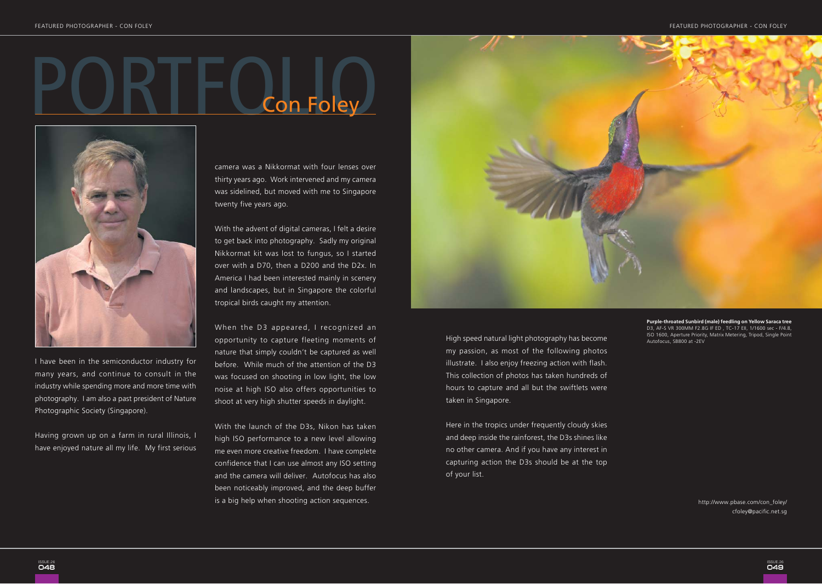## PORTFOLIO Con Foley



I have been in the semiconductor industry for many years, and continue to consult in the industry while spending more and more time with photography. I am also a past president of Nature Photographic Society (Singapore).

Having grown up on a farm in rural Illinois, I have enjoyed nature all my life. My first serious camera was a Nikkormat with four lenses over thirty years ago. Work intervened and my camera was sidelined, but moved with me to Singapore twenty five years ago.

With the advent of digital cameras, I felt a desire to get back into photography. Sadly my original Nikkormat kit was lost to fungus, so I started over with a D70, then a D200 and the D2x. In America I had been interested mainly in scenery and landscapes, but in Singapore the colorful tropical birds caught my attention.

When the D3 appeared, I recognized an opportunity to capture fleeting moments of nature that simply couldn't be captured as well before. While much of the attention of the D3 was focused on shooting in low light, the low noise at high ISO also offers opportunities to shoot at very high shutter speeds in daylight.

With the launch of the D3s, Nikon has taken high ISO performance to a new level allowing me even more creative freedom. I have complete confidence that I can use almost any ISO setting and the camera will deliver. Autofocus has also been noticeably improved, and the deep buffer is a big help when shooting action sequences.



High speed natural light photography has become my passion, as most of the following photos illustrate. I also enjoy freezing action with flash. This collection of photos has taken hundreds of hours to capture and all but the swiftlets were taken in Singapore.

Here in the tropics under frequently cloudy skies and deep inside the rainforest, the D3s shines like no other camera. And if you have any interest in capturing action the D3s should be at the top of your list.

**Purple-throated Sunbird (male) feedling on Yellow Saraca tree** D3, AF-S VR 300MM F2.8G IF ED , TC-17 EII, 1/1600 sec - F/4.8, ISO 1600, Aperture Priority, Matrix Metering, Tripod, Single Point Autofocus, SB800 at -2EV

> http://mindytan.com cfoley@pacific.net.sghttp://www.pbase.com/con\_foley/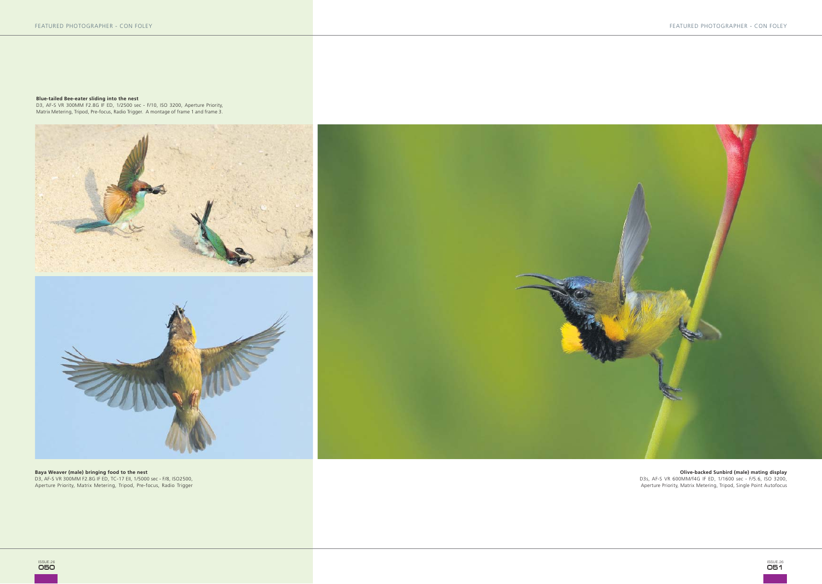**Blue-tailed Bee-eater sliding into the nest**<br>D3, AF-S VR 300MM F2.8G IF ED, 1/2500 sec - F/10, ISO 3200, Aperture Priority,<br>Matrix Metering, Tripod, Pre-focus, Radio Trigger. A montage of frame 1 and frame 3.





**Baya Weaver (male) bringing food to the nest**<br>D3, AF-S VR 300MM F2.8G IF ED, TC-17 EII, 1/5000 sec - F/8, ISO2500,<br>Aperture Priority, Matrix Metering, Tripod, Pre-focus, Radio Trigger



**Olive-backed Sunbird (male) mating display** D3s, AF-S VR 600MM/f4G IF ED, 1/1600 sec - F/5.6, ISO 3200, Aperture Priority, Matrix Metering, Tripod, Single Point Autofocus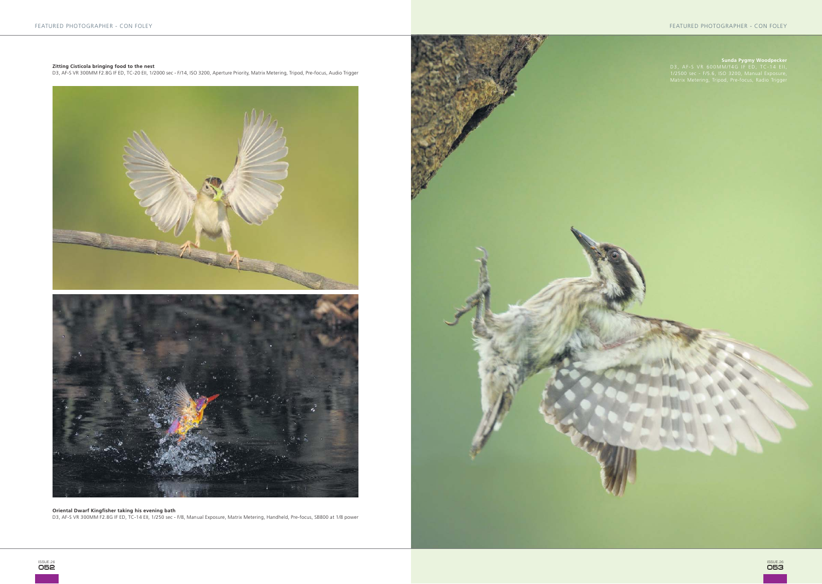**Zitting Cisticola bringing food to the nest** D3, AF-S VR 300MM F2.8G IF ED, TC-20 EII, 1/2000 sec - F/14, ISO 3200, Aperture Priority, Matrix Metering, Tripod, Pre-focus, Audio Trigger





**Oriental Dwarf Kingfisher taking his evening bath**<br>D3, AF-S VR 300MM F2.8G IF ED, TC-14 Ell, 1/250 sec - F/8, Manual Exposure, Matrix Metering, Handheld, Pre-focus, SB800 at 1/8 power

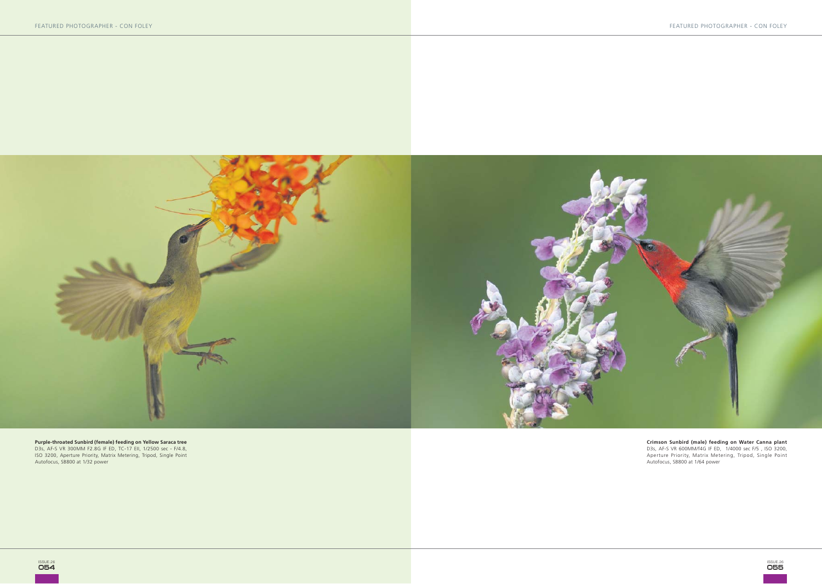

**Purple-throated Sunbird (female) feeding on Yellow Saraca tree**<br>D3s, AF-S VR 300MM F2.8G IF ED, TC-17 Ell, 1/2500 sec - F/4.8,<br>ISO 3200, Aperture Priority, Matrix Metering, Tripod, Single Point<br>Autofocus, SB800 at 1/32 po

**Crimson Sunbird (male) feeding on Water Canna plant**<br>D3s, AF-S VR 600MM/f4G IF ED, 1/4000 sec F/5 , ISO 3200,<br>Aperture Priority, Matrix Metering, Tripod, Single Point<br>Autofocus, SB800 at 1/64 power